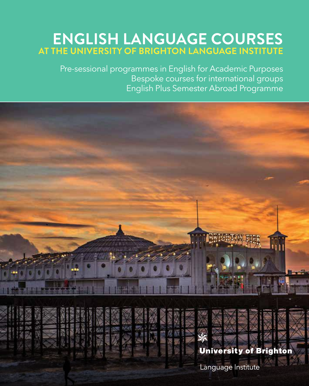### **MOULSECOOMB CAMPUS ENGLISH LANGUAGE COURSES AT THE UNIVERSITY OF BRIGHTON LANGUAGE INSTITUTE**

Pre-sessional programmes in English for Academic Purposes Bespoke courses for international groups English Plus Semester Abroad Programme

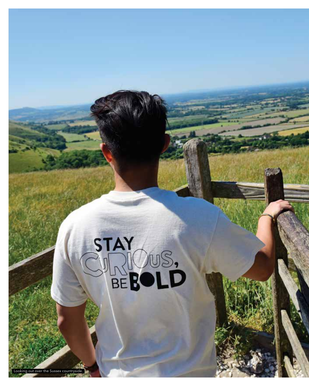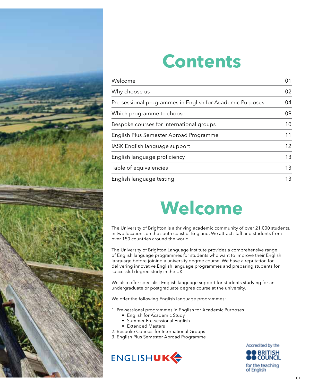

## **Contents**

| Welcome                                                   | 01 |
|-----------------------------------------------------------|----|
| Why choose us                                             | 02 |
| Pre-sessional programmes in English for Academic Purposes | 04 |
| Which programme to choose                                 | 09 |
| Bespoke courses for international groups                  | 10 |
| English Plus Semester Abroad Programme                    | 11 |
| iASK English language support                             | 12 |
| English language proficiency                              | 13 |
| Table of equivalencies                                    | 13 |
| English language testing                                  | 13 |

# **Welcome**

The University of Brighton is a thriving academic community of over 21,000 students, in two locations on the south coast of England. We attract staff and students from over 150 countries around the world.

The University of Brighton Language Institute provides a comprehensive range of English language programmes for students who want to improve their English language before joining a university degree course. We have a reputation for delivering innovative English language programmes and preparing students for successful degree study in the UK.

We also offer specialist English language support for students studying for an undergraduate or postgraduate degree course at the university.

We offer the following English language programmes:

1. Pre-sessional programmes in English for Academic Purposes

- English for Academic Study
- Summer Pre-sessional English
- Extended Masters
- 2. Bespoke Courses for International Groups
- 3. English Plus Semester Abroad Programme





of English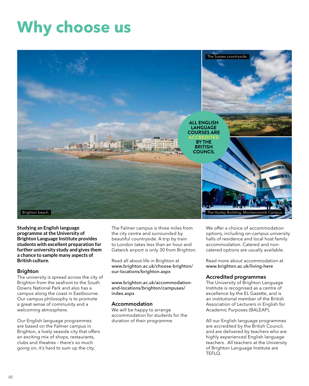### **Why choose us**



**Studying an English language programme at the University of Brighton Language Institute provides students with excellent preparation for further university study and gives them a chance to sample many aspects of British culture.**

#### Brighton

The university is spread across the city of Brighton from the seafront to the South Downs National Park and also has a campus along the coast in Eastbourne. Our campus philosophy is to promote a great sense of community and a welcoming atmosphere.

Our English language programmes are based on the Falmer campus in Brighton, a lively seaside city that offers an exciting mix of shops, restaurants, clubs and theatres – there's so much going on, it's hard to sum up the city.

The Falmer campus is three miles from the city centre and surrounded by beautiful countryside. A trip by train to London takes less than an hour and Gatwick airport is only 30 from Brighton.

Read all about life in Brighton at www.brighton.ac.uk/choose-brighton/ our-locations/brighton.aspx

www.brighton.ac.uk/accommodationand-locations/brighton/campuses/ index.aspx

#### Accommodation

We will be happy to arrange accommodation for students for the duration of their programme.

We offer a choice of accommodation options, including on-campus university halls of residence and local host family accommodation. Catered and noncatered options are usually available.

Read more about accommodation at www.brighton.ac.uk/living-here

#### Accredited programmes

The University of Brighton Language Institute is recognised as a centre of excellence by the EL Gazette, and is an institutional member of the British Association of Lecturers in English for Academic Purposes (BALEAP).

All our English language programmes are accredited by the British Council, and are delivered by teachers who are highly experienced English language teachers. All teachers at the University of Brighton Language Institute are TEFLQ.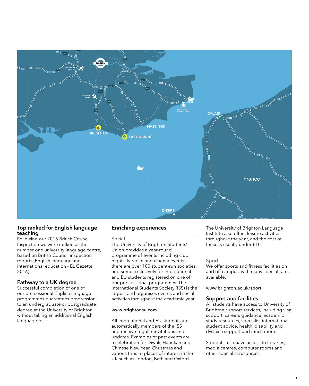

#### Top ranked for English language teaching

Following our 2015 British Council Inspection we were ranked as the number one university language centre, based on British Council inspection reports (English language and international education - EL Gazette, 2016).

#### Pathway to a UK degree

Successful completion of one of our pre-sessional English language programmes guarantees progression to an undergraduate or postgraduate degree at the University of Brighton without taking an additional English language test.

#### Enriching experiences

Social

The University of Brighton Students' Union provides a year-round programme of events including club nights, karaoke and cinema events – there are over 100 student-run societies, and some exclusively for international and EU students registered on one of our pre-sessional programmes. The International Students Society (ISS) is the largest and organises events and social activities throughout the academic year.

#### www.brightonsu.com

All international and EU students are automatically members of the ISS and receive regular invitations and updates. Examples of past events are a celebration for Diwali, Hanukah and Chinese New Year, Christmas and various trips to places of interest in the UK such as London, Bath and Oxford.

The University of Brighton Language Institute also offers leisure activities throughout the year, and the cost of these is usually under £10.

#### Sport

We offer sports and fitness facilities on and off campus, with many special rates available.

www.brighton.ac.uk/sport

#### Support and facilities

All students have access to University of Brighton support services, including visa support, careers guidance, academic study resources, specialist international student advice, health, disability and dyslexia support and much more.

Students also have access to libraries, media centres, computer rooms and other specialist resources.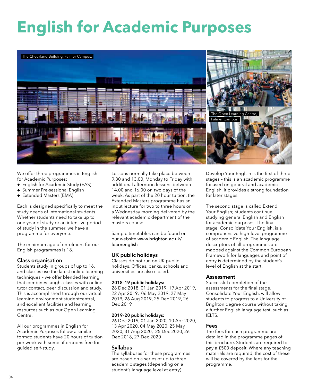# **English for Academic Purposes**



We offer three programmes in English for Academic Purposes:

- ® English for Academic Study (EAS)
- ® Summer Pre-sessional English
- **+** Extended Masters (EMA)

Each is designed specifically to meet the study needs of international students. Whether students need to take up to one year of study or an intensive period of study in the summer, we have a programme for everyone.

The minimum age of enrolment for our English programmes is 18.

#### Class organisation

Students study in groups of up to 16, and classes use the latest online learning techniques – we offer blended learning that combines taught classes with online tutor contact, peer discussion and study. This is accomplished through our virtual learning environment studentcentral, and excellent facilities and learning resources such as our Open Learning Centre.

All our programmes in English for Academic Purposes follow a similar format: students have 20 hours of tuition per week with some afternoons free for guided self-study.

Lessons normally take place between 9.30 and 13.00, Monday to Friday with additional afternoon lessons between 14.00 and 16.00 on two days of the week. As part of the 20 hour tuition, the Extended Masters programme has an input lecture for two to three hours on a Wednesday morning delivered by the relevant academic department of the masters course.

Sample timetables can be found on our website www.brighton.ac.uk/ learnenglish

#### UK public holidays

Classes do not run on UK public holidays. Offices, banks, schools and universities are also closed.

#### 2018–19 public holidays:

26 Dec 2018, 01 Jan 2019, 19 Apr 2019, 22 Apr 2019, 06 May 2019, 27 May 2019, 26 Aug 2019, 25 Dec 2019, 26 Dec 2019

#### 2019–20 public holidays:

26 Dec 2019, 01 Jan 2020, 10 Apr 2020, 13 Apr 2020, 04 May 2020, 25 May 2020, 31 Aug 2020, 25 Dec 2020, 26 Dec 2018, 27 Dec 2020

#### Syllabus

The syllabuses for these programmes are based on a series of up to three academic stages (depending on a student's language level at entry).

Develop Your English is the first of three stages – this is an academic programme focused on general and academic English. It provides a strong foundation for later stages.

The second stage is called Extend Your English; students continue studying general English and English for academic purposes. The final stage, Consolidate Your English, is a comprehensive high-level programme of academic English. The language descriptors of all programmes are mapped against the Common European Framework for languages and point of entry is determined by the student's level of English at the start.

#### **Assessment**

Successful completion of the assessments for the final stage, Consolidate Your English, will allow students to progress to a University of Brighton degree course without taking a further English language test, such as IELTS.

#### Fees

The fees for each programme are detailed in the programme pages of this brochure. Students are required to pay a £500 deposit. Where any teaching materials are required, the cost of these will be covered by the fees for the programme.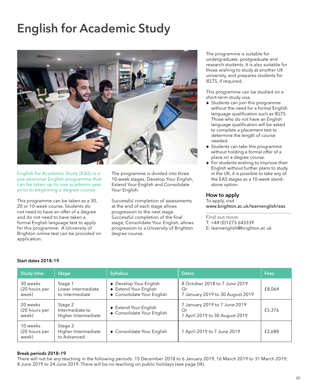### English for Academic Study



English for Academic Study (EAS) is a pre-sessional English programme that can be taken up to one academic year prior to beginning a degree course.

This programme can be taken as a 30, 20 or 10-week course. Students do not need to have an offer of a degree and do not need to have taken a formal English language test to apply for this programme. A University of Brighton online test can be provided on application.

The programme is divided into three 10-week stages: Develop Your English, Extend Your English and Consolidate Your English.

Successful completion of assessments at the end of each stage allows progression to the next stage. Successful completion of the final stage, Consolidate Your English, allows progression to a University of Brighton degree course.

The programme is suitable for undergraduate, postgraduate and research students. It is also suitable for those wishing to study at another UK university, and prepares students for IELTS, if required.

This programme can be studied on a short-term study visa.

- $\div$  Students can join this programme without the need for a formal English language qualification such as IELTS. Those who do not have an English language qualification will be asked to complete a placement test to determine the length of course needed.
- **+** Students can take this programme without holding a formal offer of a place on a degree course.
- $\overline{\bullet}$  For students wishing to improve their English without further plans to study in the UK, it is possible to take any of the EAS stages as a 10-week standalone option.

#### How to apply

To apply, visit www.brighton.ac.uk/learnenglish/eas

Find out more T: +44 (0)1273 643339 E: learnenglish@brighton.ac.uk

| <b>Study time</b>                  | <b>Stage</b>                                      | <b>Syllabus</b>                                                               | <b>Dates</b>                                                            | Fees   |
|------------------------------------|---------------------------------------------------|-------------------------------------------------------------------------------|-------------------------------------------------------------------------|--------|
| 30 weeks<br>(20 hours per<br>week) | Stage 1<br>Lower intermediate<br>to Intermediate  | + Develop Your English<br>+ Extend Your English<br>+ Consolidate Your English | 8 October 2018 to 7 June 2019<br>Or<br>7 January 2019 to 30 August 2019 | £8,064 |
| 20 weeks<br>(20 hours per<br>week) | Stage 2<br>Intermediate to<br>Higher Intermediate | + Extend Your English<br>+ Consolidate Your English                           | 7 January 2019 to 7 June 2019<br>Or<br>1 April 2019 to 30 August 2019   | £5,376 |
| 10 weeks<br>(20 hours per<br>week) | Stage 3<br>Higher Intermediate<br>to Advanced     | + Consolidate Your English                                                    | 1 April 2019 to 7 June 2019                                             | £2,688 |

#### Start dates 2018–19

#### Break periods 2018–19

There will not be any teaching in the following periods: 15 December 2018 to 6 January 2019, 16 March 2019 to 31 March 2019; 8 June 2019 to 24 June 2019. There will be no teaching on public holidays (see page 04).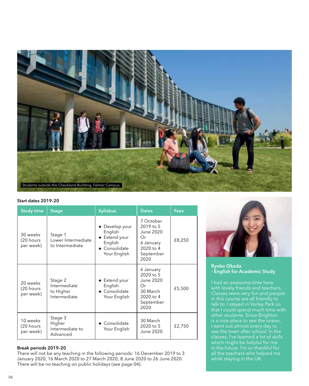

#### Start dates 2019–20

| <b>Study time</b>                  | <b>Stage</b>                                         | <b>Syllabus</b>                                                                        | <b>Dates</b>                                                                             | Fees   |
|------------------------------------|------------------------------------------------------|----------------------------------------------------------------------------------------|------------------------------------------------------------------------------------------|--------|
| 30 weeks<br>(20 hours<br>per week) | Stage 1<br>Lower Intermediate<br>to Intermediate     | + Develop your<br>English<br>+ Extend your<br>English<br>+ Consolidate<br>Your English | 7 October<br>2019 to 5<br>June 2020<br>Оr<br>6 January<br>2020 to 4<br>September<br>2020 | £8,250 |
| 20 weeks<br>(20 hours<br>per week) | Stage 2<br>Intermediate<br>to Higher<br>Intermediate | $+$ Extend your<br>English<br>+ Consolidate<br>Your English                            | 6 January<br>2020 to 5<br>June 2020<br>Оr<br>30 March<br>2020 to 4<br>September<br>2020  | £5,500 |
| 10 weeks<br>(20 hours<br>per week) | Stage 3<br>Higher<br>Intermediate to<br>Advanced     | $\bullet$ Consolidate<br>Your English                                                  | 30 March<br>2020 to 5<br>June 2020                                                       | £2,750 |

#### Break periods 2019–20

There will not be any teaching in the following periods: 16 December 2019 to 3 January 2020, 16 March 2020 to 27 March 2020; 8 June 2020 to 26 June 2020. There will be no teaching on public holidays (see page 04).



Ryoko Okada - English for Academic Study

talk to. I stayed in Varley Park so that I could spend much time with other students. Since Brighton is a nice place to see the ocean, I went out almost every day to which might be helpful for me in the future. I'm so thankful for all the teachers who helped me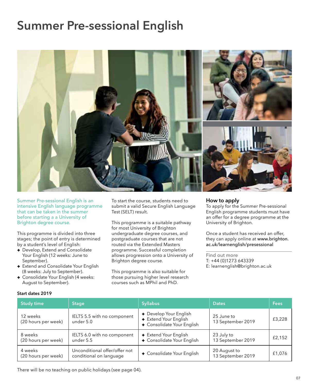### Summer Pre-sessional English



Summer Pre-sessional English is an intensive English language programme that can be taken in the summer before starting a a University of Brighton degree course.

This programme is divided into three stages; the point of entry is determined by a student's level of English:

- $\bullet$  Develop, Extend and Consolidate Your English (12 weeks: June to September).
- **+** Extend and Consolidate Your English (8 weeks: July to September).
- + Consolidate Your English (4 weeks: August to September).

To start the course, students need to submit a valid Secure English Language Test (SELT) result.

This programme is a suitable pathway for most University of Brighton undergraduate degree courses, and postgraduate courses that are not routed via the Extended Masters programme. Successful completion allows progression onto a University of Brighton degree course.

This programme is also suitable for those pursuing higher level research courses such as MPhil and PhD.

#### How to apply

To apply for the Summer Pre-sessional English programme students must have an offer for a degree programme at the University of Brighton.

Once a student has received an offer, they can apply online at www.brighton. ac.uk/learnenglish/presessional

Find out more T: +44 (0)1273 643339 E: learnenglish@brighton.ac.uk

| <b>Study time</b>               | <b>Stage</b>                                             | <b>Syllabus</b>                                                               | <b>Dates</b>                      | Fees   |
|---------------------------------|----------------------------------------------------------|-------------------------------------------------------------------------------|-----------------------------------|--------|
| 12 weeks<br>(20 hours per week) | IELTS 5.5 with no component<br>under 5.0                 | + Develop Your English<br>+ Extend Your English<br>+ Consolidate Your English | 25 June to<br>13 September 2019   | £3,228 |
| 8 weeks<br>(20 hours per week)  | IELTS 6.0 with no component<br>under 5.5                 | + Extend Your English<br>+ Consolidate Your English                           | 23 July to<br>13 September 2019   | £2,152 |
| 4 weeks<br>(20 hours per week)  | Unconditional offer/offer not<br>conditional on language | + Consolidate Your English                                                    | 20 August to<br>13 September 2019 | £1,076 |

Start dates 2019

There will be no teaching on public holidays (see page 04).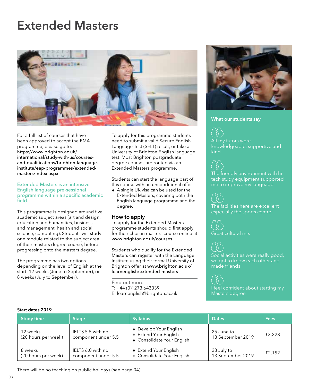### Extended Masters



For a full list of courses that have been approved to accept the EMA programme, please go to: https://www.brighton.ac.uk/ international/study-with-us/coursesand-qualifications/brighton-languageinstitute/eap-programmes/extendedmasters/index.aspx

Extended Masters is an intensive English language pre-sessional programme within a specific academic field.

This programme is designed around five academic subject areas (art and design, education and humanities, business and management, health and social science, computing). Students will study one module related to the subject area of their masters degree course, before progressing onto the masters degree.

The programme has two options depending on the level of English at the start: 12 weeks (June to September), or 8 weeks (July to September).

To apply for this programme students need to submit a valid Secure English Language Test (SELT) result, or take a University of Brighton English language test. Most Brighton postgraduate degree courses are routed via an Extended Masters programme.

Students can start the language part of this course with an unconditional offer

® A single UK visa can be used for the Extended Masters, covering both the English language programme and the degree.

#### How to apply

To apply for the Extended Masters programme students should first apply for their chosen masters course online at www.brighton.ac.uk/courses.

Students who qualify for the Extended Masters can register with the Language Institute using their formal University of Brighton offer at www.brighton.ac.uk/ learnenglish/extended-masters

Find out more T: +44 (0)1273 643339 E: learnenglish@brighton.ac.uk



#### What our students say

All my tutors were knowledgeable, supportive and kind

The friendly environment with hitech study equipment supported me to improve my language

The facilities here are excellent

Great cultural mix

made friends

| <b>Study time</b>               | <b>Stage</b>                             | <b>Syllabus</b>                                                               | <b>Dates</b>                    | Fees   |
|---------------------------------|------------------------------------------|-------------------------------------------------------------------------------|---------------------------------|--------|
| 12 weeks<br>(20 hours per week) | IELTS 5.5 with no<br>component under 5.5 | + Develop Your English<br>+ Extend Your English<br>+ Consolidate Your English | 25 June to<br>13 September 2019 | £3,228 |
| 8 weeks<br>(20 hours per week)  | IELTS 6.0 with no<br>component under 5.5 | + Extend Your English<br>+ Consolidate Your English                           | 23 July to<br>13 September 2019 | £2.152 |

Start dates 2019

There will be no teaching on public holidays (see page 04).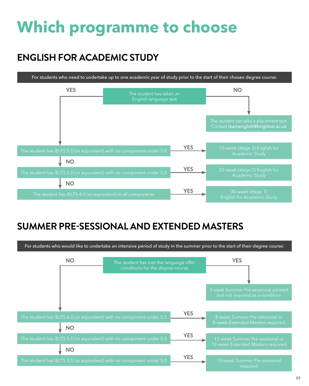# **Which programme to choose**

### **ENGLISH FOR ACADEMIC STUDY**



### **SUMMER PRE-SESSIONAL AND EXTENDED MASTERS**

For students who would like to undertake an intensive period of study in the summer prior to the start of their degree course:

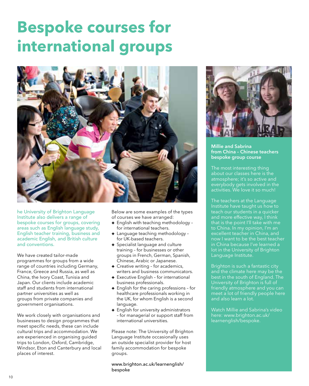## **Bespoke courses for international groups**



he University of Brighton Language Institute also delivers a range of bespoke courses for groups, covering areas such as English language study, English teacher training, business and academic English, and British culture and conventions.

We have created tailor-made programmes for groups from a wide range of countries including Germany, France, Greece and Russia, as well as China, the Ivory Coast, Tunisia and Japan. Our clients include academic staff and students from international partner universities as well as groups from private companies and government organisations.

We work closely with organisations and businesses to design programmes that meet specific needs, these can include cultural trips and accommodation. We are experienced in organising guided trips to London, Oxford, Cambridge, Windsor, Eton and Canterbury and local places of interest.

Below are some examples of the types of courses we have arranged:

- $\div$  English with teaching methodology for international teachers.
- ® Language teaching methodology for UK-based teachers.
- ® Specialist language and culture training – for businesses or other groups in French, German, Spanish, Chinese, Arabic or Japanese.
- **+** Creative writing for academics, writers and business communicators.
- ® Executive English for international business professionals.
- ® English for the caring professions for healthcare professionals working in the UK, for whom English is a second language.
- **+** English for university administrators – for managerial or support staff from international universities.

Please note: The University of Brighton Language Institute occasionally uses an outside specialist provider for host family accommodation for bespoke groups.

www.brighton.ac.uk/learnenglish/ bespoke



Millie and Sabrina from China – Chinese teachers bespoke group course

The most interesting thing about our classes here is the atmosphere; it's so active and everybody gets involved in the activities. We love it so much!

The teachers at the Language Institute have taught us how to teach our students in a quicker and more effective way, I think that is the point I'll take with me to China. In my opinion, I'm an excellent teacher in China, and now I want to be the best teacher in China because I've learned a lot in the University of Brighton Language Institute.

Brighton is such a fantastic city and the climate here may be the best in the south of England. The and also learn a lot.

Watch Millie and Sabrina's video here: www.brighton.ac.uk/ learnenglish/bespoke.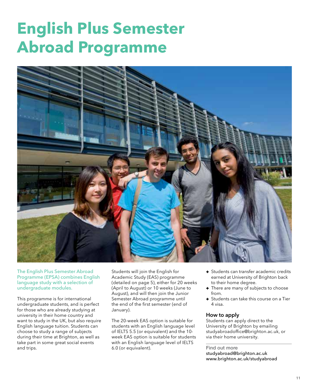### **English Plus Semester Abroad Programme**



The English Plus Semester Abroad Programme (EPSA) combines English language study with a selection of undergraduate modules.

This programme is for international undergraduate students, and is perfect for those who are already studying at university in their home country and want to study in the UK, but also require English language tuition. Students can choose to study a range of subjects during their time at Brighton, as well as take part in some great social events and trips.

Students will join the English for Academic Study (EAS) programme (detailed on page 5), either for 20 weeks (April to August) or 10 weeks (June to August), and will then join the Junior Semester Abroad programme until the end of the first semester (end of January).

The 20-week EAS option is suitable for students with an English language level of IELTS 5.5 (or equivalent) and the 10 week EAS option is suitable for students with an English language level of IELTS 6.0 (or equivalent).

- **+** Students can transfer academic credits earned at University of Brighton back to their home degree.
- There are many of subjects to choose from.
- $\bullet$  Students can take this course on a Tier 4 visa.

#### How to apply

Students can apply direct to the University of Brighton by emailing studyabroadoffice@brighton.ac.uk, or via their home university.

Find out more studyabroad@brighton.ac.uk www.brighton.ac.uk/studyabroad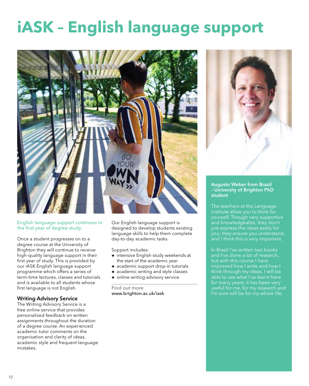## **iASK – English language support**





#### Augusto Weber from Brazil – University of Brighton PhD student

The teachers at the Language Institute allow you to think for yourself. Though very supportive and knowledgeable, they don't just express the ideas easily for and I think this is very important.

In Brazil I've written two books and I've done a lot of research, but with this course I have improved how I write and how I think through my ideas. I will be able to use what I've learnt here

#### English language support continues in the first year of degree study.

Once a student progresses on to a degree course at the University of Brighton they will continue to receive high-quality language support in their first year of study. This is provided by our iASK English language support programme which offers a series of term-time lectures, classes and tutorials and is available to all students whose first language is not English.

#### Writing Advisory Service

The Writing Advisory Service is a free online service that provides personalised feedback on written assignments throughout the duration of a degree course. An experienced academic tutor comments on the organisation and clarity of ideas, academic style and frequent language mistakes.

Our English language support is designed to develop students existing language skills to help them complete day-to-day academic tasks.

Support includes:

- $\overline{\bullet}$  intensive English study weekends at the start of the academic year
- $\bullet$  academic support drop-in tutorials
- $\bullet$  academic writing and style classes
- + online writing advisory service.

Find out more www.brighton.ac.uk/iask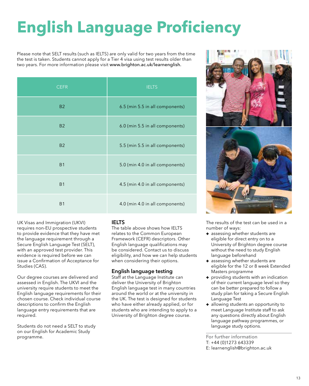# **English Language Proficiency**

Please note that SELT results (such as IELTS) are only valid for two years from the time the test is taken. Students cannot apply for a Tier 4 visa using test results older than two years. For more information please visit www.brighton.ac.uk/learnenglish.

| <b>CEFR</b>    | <b>IELTS</b>                    |
|----------------|---------------------------------|
| <b>B2</b>      | 6.5 (min 5.5 in all components) |
| <b>B2</b>      | 6.0 (min 5.5 in all components) |
| <b>B2</b>      | 5.5 (min 5.5 in all components) |
| <b>B1</b>      | 5.0 (min 4.0 in all components) |
| <b>B1</b>      | 4.5 (min 4.0 in all components) |
| B <sub>1</sub> | 4.0 (min 4.0 in all components) |

UK Visas and Immigration (UKVI) requires non-EU prospective students to provide evidence that they have met the language requirement through a Secure English Language Test (SELT), with an approved test provider. This evidence is required before we can issue a Confirmation of Acceptance for Studies (CAS).

Our degree courses are delivered and assessed in English. The UKVI and the university require students to meet the English language requirements for their chosen course. Check individual course descriptions to confirm the English language entry requirements that are required.

Students do not need a SELT to study on our English for Academic Study programme.

#### IELTS

The table above shows how IELTS relates to the Common European Framework (CEFR) descriptors. Other English language qualifications may be considered. Contact us to discuss eligibility, and how we can help students when considering their options.

#### English language testing

Staff at the Language Institute can deliver the University of Brighton English language test in many countries around the world or at the university in the UK. The test is designed for students who have either already applied, or for students who are intending to apply to a University of Brighton degree course.



The results of the test can be used in a number of ways:

- $\bullet$  assessing whether students are eligible for direct entry on to a University of Brighton degree course without the need to study English language beforehand
- $\overline{\bullet}$  assessing whether students are eligible for the 12 or 8 week Extended Masters programme
- **+** providing students with an indication of their current language level so they can be better prepared to follow a study plan for taking a Secure English Language Test
- allowing students an opportunity to meet Language Institute staff to ask any questions directly about English language pathway programmes, or language study options.

For further information T: +44 (0)1273 643339

E: learnenglish@brighton.ac.uk